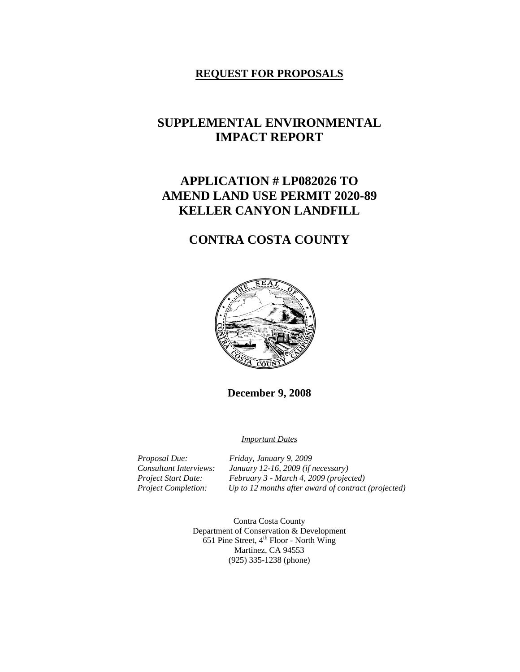# **REQUEST FOR PROPOSALS**

# **SUPPLEMENTAL ENVIRONMENTAL IMPACT REPORT**

# **APPLICATION # LP082026 TO AMEND LAND USE PERMIT 2020-89 KELLER CANYON LANDFILL**

# **CONTRA COSTA COUNTY**



**December 9, 2008** 

*Important Dates*

*Proposal Due: Friday, January 9, 2009 Consultant Interviews: January 12-16, 2009 (if necessary) Project Start Date: February 3 - March 4, 2009 (projected) Project Completion: Up to 12 months after award of contract (projected)* 

> Contra Costa County Department of Conservation & Development 651 Pine Street,  $4^{\text{th}}$  Floor - North Wing Martinez, CA 94553 (925) 335-1238 (phone)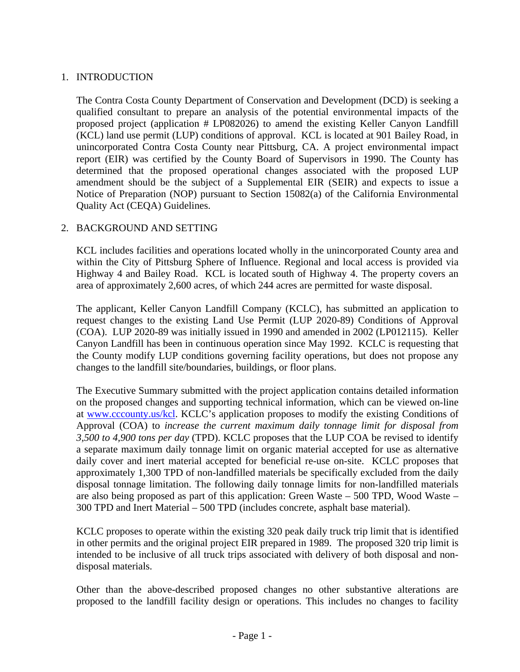# 1. INTRODUCTION

The Contra Costa County Department of Conservation and Development (DCD) is seeking a qualified consultant to prepare an analysis of the potential environmental impacts of the proposed project (application # LP082026) to amend the existing Keller Canyon Landfill (KCL) land use permit (LUP) conditions of approval. KCL is located at 901 Bailey Road, in unincorporated Contra Costa County near Pittsburg, CA. A project environmental impact report (EIR) was certified by the County Board of Supervisors in 1990. The County has determined that the proposed operational changes associated with the proposed LUP amendment should be the subject of a Supplemental EIR (SEIR) and expects to issue a Notice of Preparation (NOP) pursuant to Section 15082(a) of the California Environmental Quality Act (CEQA) Guidelines.

# 2. BACKGROUND AND SETTING

 KCL includes facilities and operations located wholly in the unincorporated County area and within the City of Pittsburg Sphere of Influence. Regional and local access is provided via Highway 4 and Bailey Road. KCL is located south of Highway 4. The property covers an area of approximately 2,600 acres, of which 244 acres are permitted for waste disposal.

 The applicant, Keller Canyon Landfill Company (KCLC), has submitted an application to request changes to the existing Land Use Permit (LUP 2020-89) Conditions of Approval (COA). LUP 2020-89 was initially issued in 1990 and amended in 2002 (LP012115). Keller Canyon Landfill has been in continuous operation since May 1992. KCLC is requesting that the County modify LUP conditions governing facility operations, but does not propose any changes to the landfill site/boundaries, buildings, or floor plans.

 The Executive Summary submitted with the project application contains detailed information on the proposed changes and supporting technical information, which can be viewed on-line at www.cccounty.us/kcl. KCLC's application proposes to modify the existing Conditions of Approval (COA) to *increase the current maximum daily tonnage limit for disposal from 3,500 to 4,900 tons per day* (TPD). KCLC proposes that the LUP COA be revised to identify a separate maximum daily tonnage limit on organic material accepted for use as alternative daily cover and inert material accepted for beneficial re-use on-site. KCLC proposes that approximately 1,300 TPD of non-landfilled materials be specifically excluded from the daily disposal tonnage limitation. The following daily tonnage limits for non-landfilled materials are also being proposed as part of this application: Green Waste – 500 TPD, Wood Waste – 300 TPD and Inert Material – 500 TPD (includes concrete, asphalt base material).

 KCLC proposes to operate within the existing 320 peak daily truck trip limit that is identified in other permits and the original project EIR prepared in 1989. The proposed 320 trip limit is intended to be inclusive of all truck trips associated with delivery of both disposal and nondisposal materials.

 Other than the above-described proposed changes no other substantive alterations are proposed to the landfill facility design or operations. This includes no changes to facility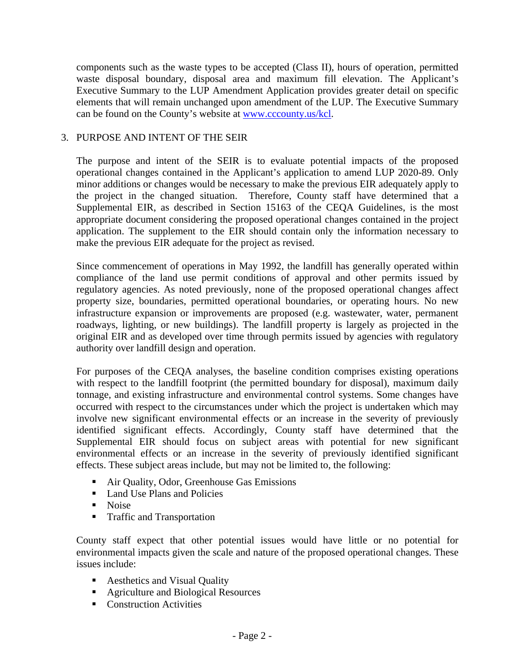components such as the waste types to be accepted (Class II), hours of operation, permitted waste disposal boundary, disposal area and maximum fill elevation. The Applicant's Executive Summary to the LUP Amendment Application provides greater detail on specific elements that will remain unchanged upon amendment of the LUP. The Executive Summary can be found on the County's website at www.cccounty.us/kcl.

#### 3. PURPOSE AND INTENT OF THE SEIR

The purpose and intent of the SEIR is to evaluate potential impacts of the proposed operational changes contained in the Applicant's application to amend LUP 2020-89. Only minor additions or changes would be necessary to make the previous EIR adequately apply to the project in the changed situation. Therefore, County staff have determined that a Supplemental EIR, as described in Section 15163 of the CEQA Guidelines, is the most appropriate document considering the proposed operational changes contained in the project application. The supplement to the EIR should contain only the information necessary to make the previous EIR adequate for the project as revised.

Since commencement of operations in May 1992, the landfill has generally operated within compliance of the land use permit conditions of approval and other permits issued by regulatory agencies. As noted previously, none of the proposed operational changes affect property size, boundaries, permitted operational boundaries, or operating hours. No new infrastructure expansion or improvements are proposed (e.g. wastewater, water, permanent roadways, lighting, or new buildings). The landfill property is largely as projected in the original EIR and as developed over time through permits issued by agencies with regulatory authority over landfill design and operation.

For purposes of the CEQA analyses, the baseline condition comprises existing operations with respect to the landfill footprint (the permitted boundary for disposal), maximum daily tonnage, and existing infrastructure and environmental control systems. Some changes have occurred with respect to the circumstances under which the project is undertaken which may involve new significant environmental effects or an increase in the severity of previously identified significant effects. Accordingly, County staff have determined that the Supplemental EIR should focus on subject areas with potential for new significant environmental effects or an increase in the severity of previously identified significant effects. These subject areas include, but may not be limited to, the following:

- Air Quality, Odor, Greenhouse Gas Emissions
- Land Use Plans and Policies
- **Noise**
- **Traffic and Transportation**

 County staff expect that other potential issues would have little or no potential for environmental impacts given the scale and nature of the proposed operational changes. These issues include:

- Aesthetics and Visual Quality
- **Agriculture and Biological Resources**
- Construction Activities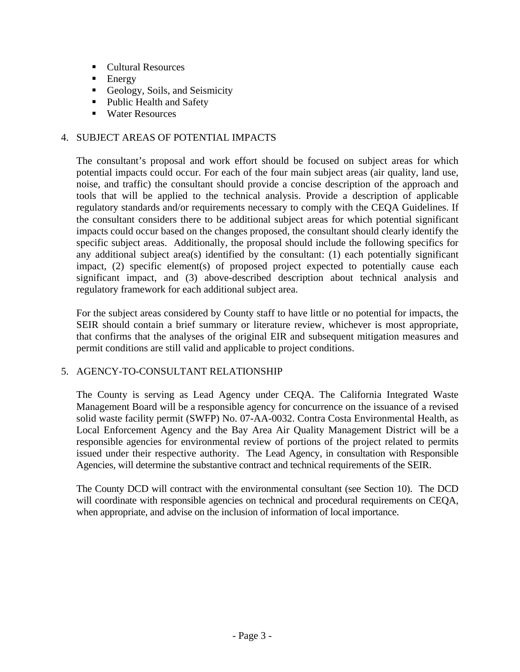- Cultural Resources
- $\blacksquare$  Energy
- Geology, Soils, and Seismicity
- Public Health and Safety
- Water Resources

# 4. SUBJECT AREAS OF POTENTIAL IMPACTS

The consultant's proposal and work effort should be focused on subject areas for which potential impacts could occur. For each of the four main subject areas (air quality, land use, noise, and traffic) the consultant should provide a concise description of the approach and tools that will be applied to the technical analysis. Provide a description of applicable regulatory standards and/or requirements necessary to comply with the CEQA Guidelines. If the consultant considers there to be additional subject areas for which potential significant impacts could occur based on the changes proposed, the consultant should clearly identify the specific subject areas. Additionally, the proposal should include the following specifics for any additional subject area(s) identified by the consultant: (1) each potentially significant impact, (2) specific element(s) of proposed project expected to potentially cause each significant impact, and (3) above-described description about technical analysis and regulatory framework for each additional subject area.

For the subject areas considered by County staff to have little or no potential for impacts, the SEIR should contain a brief summary or literature review, whichever is most appropriate, that confirms that the analyses of the original EIR and subsequent mitigation measures and permit conditions are still valid and applicable to project conditions.

# 5. AGENCY-TO-CONSULTANT RELATIONSHIP

 The County is serving as Lead Agency under CEQA. The California Integrated Waste Management Board will be a responsible agency for concurrence on the issuance of a revised solid waste facility permit (SWFP) No. 07-AA-0032. Contra Costa Environmental Health, as Local Enforcement Agency and the Bay Area Air Quality Management District will be a responsible agencies for environmental review of portions of the project related to permits issued under their respective authority. The Lead Agency, in consultation with Responsible Agencies, will determine the substantive contract and technical requirements of the SEIR.

 The County DCD will contract with the environmental consultant (see Section 10). The DCD will coordinate with responsible agencies on technical and procedural requirements on CEOA, when appropriate, and advise on the inclusion of information of local importance.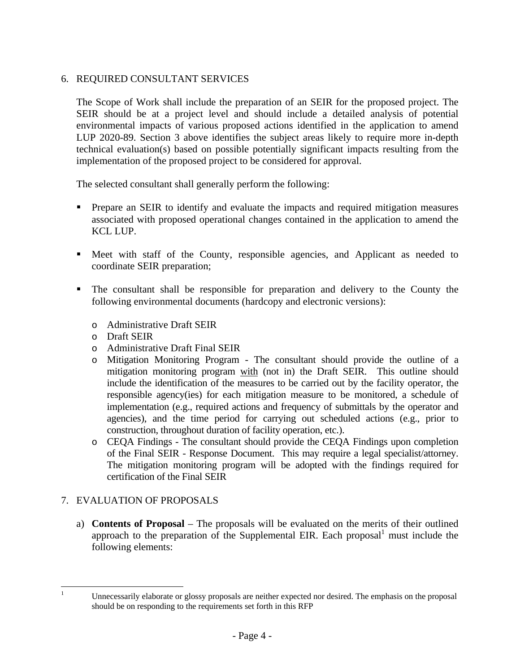# 6. REQUIRED CONSULTANT SERVICES

 The Scope of Work shall include the preparation of an SEIR for the proposed project. The SEIR should be at a project level and should include a detailed analysis of potential environmental impacts of various proposed actions identified in the application to amend LUP 2020-89. Section 3 above identifies the subject areas likely to require more in-depth technical evaluation(s) based on possible potentially significant impacts resulting from the implementation of the proposed project to be considered for approval.

The selected consultant shall generally perform the following:

- **Prepare an SEIR to identify and evaluate the impacts and required mitigation measures** associated with proposed operational changes contained in the application to amend the KCL LUP.
- Meet with staff of the County, responsible agencies, and Applicant as needed to coordinate SEIR preparation;
- The consultant shall be responsible for preparation and delivery to the County the following environmental documents (hardcopy and electronic versions):
	- o Administrative Draft SEIR
	- o Draft SEIR
	- o Administrative Draft Final SEIR
	- o Mitigation Monitoring Program The consultant should provide the outline of a mitigation monitoring program with (not in) the Draft SEIR. This outline should include the identification of the measures to be carried out by the facility operator, the responsible agency(ies) for each mitigation measure to be monitored, a schedule of implementation (e.g., required actions and frequency of submittals by the operator and agencies), and the time period for carrying out scheduled actions (e.g., prior to construction, throughout duration of facility operation, etc.).
	- o CEQA Findings The consultant should provide the CEQA Findings upon completion of the Final SEIR - Response Document. This may require a legal specialist/attorney. The mitigation monitoring program will be adopted with the findings required for certification of the Final SEIR

# 7. EVALUATION OF PROPOSALS

a) **Contents of Proposal** – The proposals will be evaluated on the merits of their outlined approach to the preparation of the Supplemental EIR. Each proposal $<sup>1</sup>$  must include the</sup> following elements:

 $\frac{1}{1}$ 

Unnecessarily elaborate or glossy proposals are neither expected nor desired. The emphasis on the proposal should be on responding to the requirements set forth in this RFP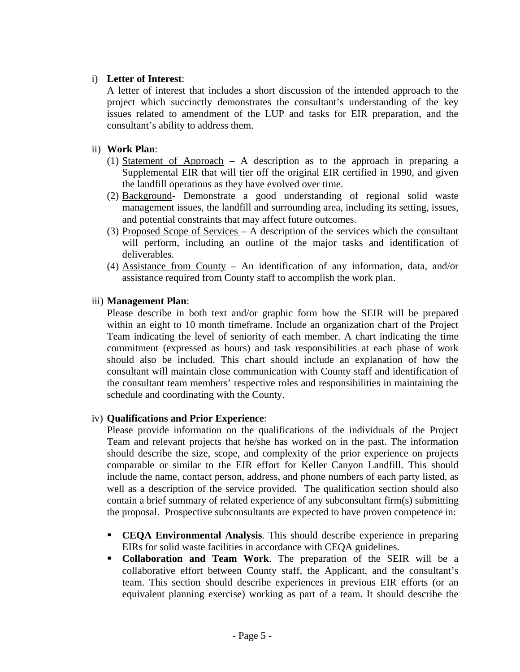# i) **Letter of Interest**:

A letter of interest that includes a short discussion of the intended approach to the project which succinctly demonstrates the consultant's understanding of the key issues related to amendment of the LUP and tasks for EIR preparation, and the consultant's ability to address them.

# ii) **Work Plan**:

- (1) Statement of Approach A description as to the approach in preparing a Supplemental EIR that will tier off the original EIR certified in 1990, and given the landfill operations as they have evolved over time.
- (2) Background- Demonstrate a good understanding of regional solid waste management issues, the landfill and surrounding area, including its setting, issues, and potential constraints that may affect future outcomes.
- (3) Proposed Scope of Services A description of the services which the consultant will perform, including an outline of the major tasks and identification of deliverables.
- (4) Assistance from County An identification of any information, data, and/or assistance required from County staff to accomplish the work plan.

# iii) **Management Plan**:

Please describe in both text and/or graphic form how the SEIR will be prepared within an eight to 10 month timeframe. Include an organization chart of the Project Team indicating the level of seniority of each member. A chart indicating the time commitment (expressed as hours) and task responsibilities at each phase of work should also be included. This chart should include an explanation of how the consultant will maintain close communication with County staff and identification of the consultant team members' respective roles and responsibilities in maintaining the schedule and coordinating with the County.

# iv) **Qualifications and Prior Experience**:

Please provide information on the qualifications of the individuals of the Project Team and relevant projects that he/she has worked on in the past. The information should describe the size, scope, and complexity of the prior experience on projects comparable or similar to the EIR effort for Keller Canyon Landfill. This should include the name, contact person, address, and phone numbers of each party listed, as well as a description of the service provided. The qualification section should also contain a brief summary of related experience of any subconsultant firm(s) submitting the proposal. Prospective subconsultants are expected to have proven competence in:

- **CEQA Environmental Analysis**. This should describe experience in preparing EIRs for solid waste facilities in accordance with CEQA guidelines.
- **Collaboration and Team Work**. The preparation of the SEIR will be a collaborative effort between County staff, the Applicant, and the consultant's team. This section should describe experiences in previous EIR efforts (or an equivalent planning exercise) working as part of a team. It should describe the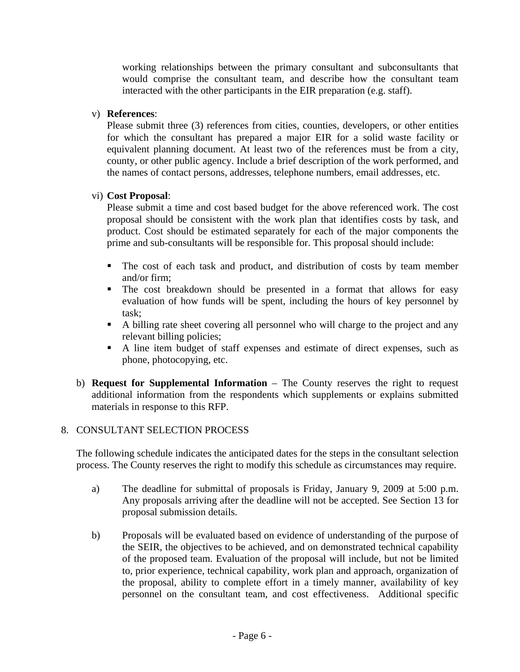working relationships between the primary consultant and subconsultants that would comprise the consultant team, and describe how the consultant team interacted with the other participants in the EIR preparation (e.g. staff).

# v) **References**:

Please submit three (3) references from cities, counties, developers, or other entities for which the consultant has prepared a major EIR for a solid waste facility or equivalent planning document. At least two of the references must be from a city, county, or other public agency. Include a brief description of the work performed, and the names of contact persons, addresses, telephone numbers, email addresses, etc.

#### vi) **Cost Proposal**:

Please submit a time and cost based budget for the above referenced work. The cost proposal should be consistent with the work plan that identifies costs by task, and product. Cost should be estimated separately for each of the major components the prime and sub-consultants will be responsible for. This proposal should include:

- The cost of each task and product, and distribution of costs by team member and/or firm;
- The cost breakdown should be presented in a format that allows for easy evaluation of how funds will be spent, including the hours of key personnel by task;
- A billing rate sheet covering all personnel who will charge to the project and any relevant billing policies;
- A line item budget of staff expenses and estimate of direct expenses, such as phone, photocopying, etc.
- b) **Request for Supplemental Information** The County reserves the right to request additional information from the respondents which supplements or explains submitted materials in response to this RFP.

#### 8. CONSULTANT SELECTION PROCESS

The following schedule indicates the anticipated dates for the steps in the consultant selection process. The County reserves the right to modify this schedule as circumstances may require.

- a) The deadline for submittal of proposals is Friday, January 9, 2009 at 5:00 p.m. Any proposals arriving after the deadline will not be accepted. See Section 13 for proposal submission details.
- b) Proposals will be evaluated based on evidence of understanding of the purpose of the SEIR, the objectives to be achieved, and on demonstrated technical capability of the proposed team. Evaluation of the proposal will include, but not be limited to, prior experience, technical capability, work plan and approach, organization of the proposal, ability to complete effort in a timely manner, availability of key personnel on the consultant team, and cost effectiveness. Additional specific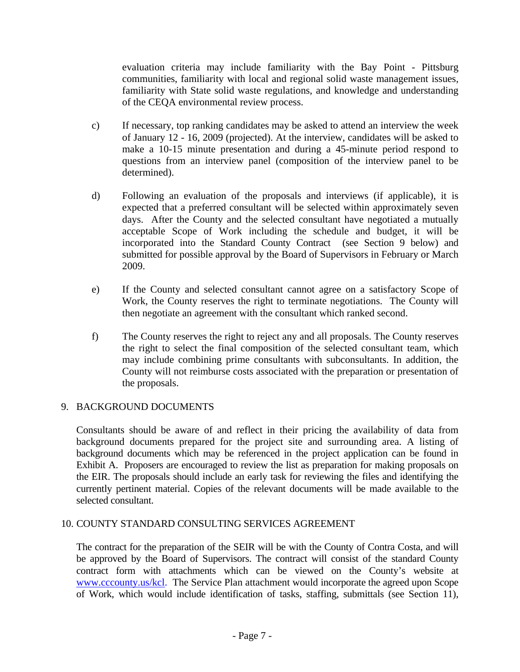evaluation criteria may include familiarity with the Bay Point - Pittsburg communities, familiarity with local and regional solid waste management issues, familiarity with State solid waste regulations, and knowledge and understanding of the CEQA environmental review process.

- c) If necessary, top ranking candidates may be asked to attend an interview the week of January 12 - 16, 2009 (projected). At the interview, candidates will be asked to make a 10-15 minute presentation and during a 45-minute period respond to questions from an interview panel (composition of the interview panel to be determined).
- d) Following an evaluation of the proposals and interviews (if applicable), it is expected that a preferred consultant will be selected within approximately seven days. After the County and the selected consultant have negotiated a mutually acceptable Scope of Work including the schedule and budget, it will be incorporated into the Standard County Contract (see Section 9 below) and submitted for possible approval by the Board of Supervisors in February or March 2009.
- e) If the County and selected consultant cannot agree on a satisfactory Scope of Work, the County reserves the right to terminate negotiations. The County will then negotiate an agreement with the consultant which ranked second.
- f) The County reserves the right to reject any and all proposals. The County reserves the right to select the final composition of the selected consultant team, which may include combining prime consultants with subconsultants. In addition, the County will not reimburse costs associated with the preparation or presentation of the proposals.

# 9. BACKGROUND DOCUMENTS

 Consultants should be aware of and reflect in their pricing the availability of data from background documents prepared for the project site and surrounding area. A listing of background documents which may be referenced in the project application can be found in Exhibit A. Proposers are encouraged to review the list as preparation for making proposals on the EIR. The proposals should include an early task for reviewing the files and identifying the currently pertinent material. Copies of the relevant documents will be made available to the selected consultant.

# 10. COUNTY STANDARD CONSULTING SERVICES AGREEMENT

The contract for the preparation of the SEIR will be with the County of Contra Costa, and will be approved by the Board of Supervisors. The contract will consist of the standard County contract form with attachments which can be viewed on the County's website at www.cccounty.us/kcl. The Service Plan attachment would incorporate the agreed upon Scope of Work, which would include identification of tasks, staffing, submittals (see Section 11),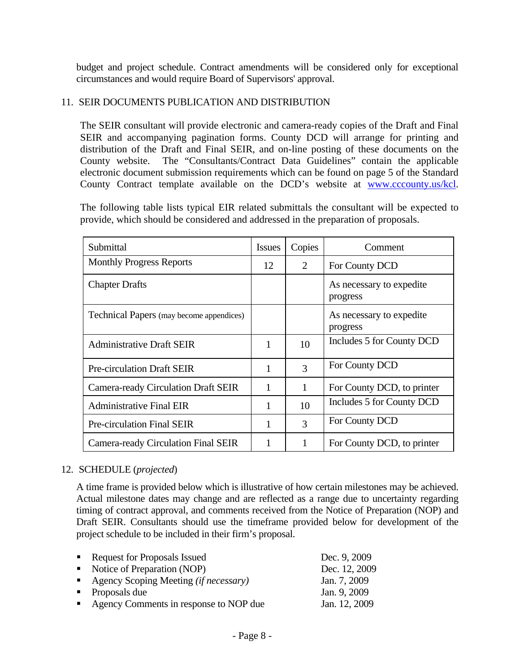budget and project schedule. Contract amendments will be considered only for exceptional circumstances and would require Board of Supervisors' approval.

### 11. SEIR DOCUMENTS PUBLICATION AND DISTRIBUTION

The SEIR consultant will provide electronic and camera-ready copies of the Draft and Final SEIR and accompanying pagination forms. County DCD will arrange for printing and distribution of the Draft and Final SEIR, and on-line posting of these documents on the County website. The "Consultants/Contract Data Guidelines" contain the applicable electronic document submission requirements which can be found on page 5 of the Standard County Contract template available on the DCD's website at www.cccounty.us/kcl.

The following table lists typical EIR related submittals the consultant will be expected to provide, which should be considered and addressed in the preparation of proposals.

| Submittal                                  | <b>Issues</b> | Copies         | Comment                              |
|--------------------------------------------|---------------|----------------|--------------------------------------|
| <b>Monthly Progress Reports</b>            | 12            | $\overline{2}$ | For County DCD                       |
| <b>Chapter Drafts</b>                      |               |                | As necessary to expedite<br>progress |
| Technical Papers (may become appendices)   |               |                | As necessary to expedite<br>progress |
| <b>Administrative Draft SEIR</b>           | 1             | 10             | Includes 5 for County DCD            |
| <b>Pre-circulation Draft SEIR</b>          |               | 3              | For County DCD                       |
| <b>Camera-ready Circulation Draft SEIR</b> | 1             | 1              | For County DCD, to printer           |
| <b>Administrative Final EIR</b>            | 1             | 10             | Includes 5 for County DCD            |
| Pre-circulation Final SEIR                 |               | 3              | For County DCD                       |
| Camera-ready Circulation Final SEIR        |               |                | For County DCD, to printer           |

#### 12. SCHEDULE (*projected*)

 A time frame is provided below which is illustrative of how certain milestones may be achieved. Actual milestone dates may change and are reflected as a range due to uncertainty regarding timing of contract approval, and comments received from the Notice of Preparation (NOP) and Draft SEIR. Consultants should use the timeframe provided below for development of the project schedule to be included in their firm's proposal.

| • Request for Proposals Issued               | Dec. 9, 2009  |
|----------------------------------------------|---------------|
| • Notice of Preparation (NOP)                | Dec. 12, 2009 |
| Agency Scoping Meeting <i>(if necessary)</i> | Jan. 7, 2009  |
| • Proposals due                              | Jan. 9, 2009  |
| • Agency Comments in response to NOP due     | Jan. 12, 2009 |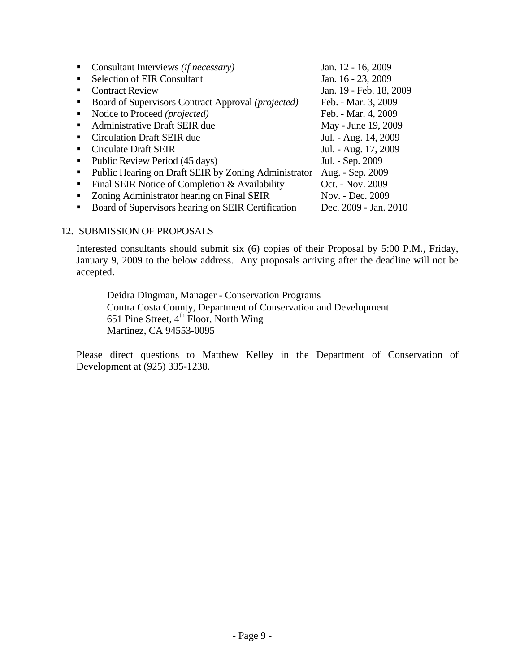| Consultant Interviews <i>(if necessary)</i>          | Jan. 12 - 16, 2009      |
|------------------------------------------------------|-------------------------|
| <b>Selection of EIR Consultant</b>                   | Jan. 16 - 23, 2009      |
| <b>Contract Review</b>                               | Jan. 19 - Feb. 18, 2009 |
| Board of Supervisors Contract Approval (projected)   | Feb. - Mar. 3, 2009     |
| Notice to Proceed (projected)                        | Feb. - Mar. 4, 2009     |
| Administrative Draft SEIR due                        | May - June 19, 2009     |
| <b>Circulation Draft SEIR due</b>                    | Jul. - Aug. 14, 2009    |
| Circulate Draft SEIR                                 | Jul. - Aug. 17, 2009    |
| Public Review Period (45 days)                       | Jul. - Sep. 2009        |
| Public Hearing on Draft SEIR by Zoning Administrator | Aug. - Sep. 2009        |
| Final SEIR Notice of Completion & Availability       | Oct. - Nov. 2009        |
| Zoning Administrator hearing on Final SEIR           | Nov. - Dec. 2009        |
| Board of Supervisors hearing on SEIR Certification   | Dec. 2009 - Jan. 2010   |

#### 12. SUBMISSION OF PROPOSALS

 Interested consultants should submit six (6) copies of their Proposal by 5:00 P.M., Friday, January 9, 2009 to the below address. Any proposals arriving after the deadline will not be accepted.

Deidra Dingman, Manager - Conservation Programs Contra Costa County, Department of Conservation and Development 651 Pine Street,  $4^{\text{th}}$  Floor, North Wing Martinez, CA 94553-0095

Please direct questions to Matthew Kelley in the Department of Conservation of Development at (925) 335-1238.